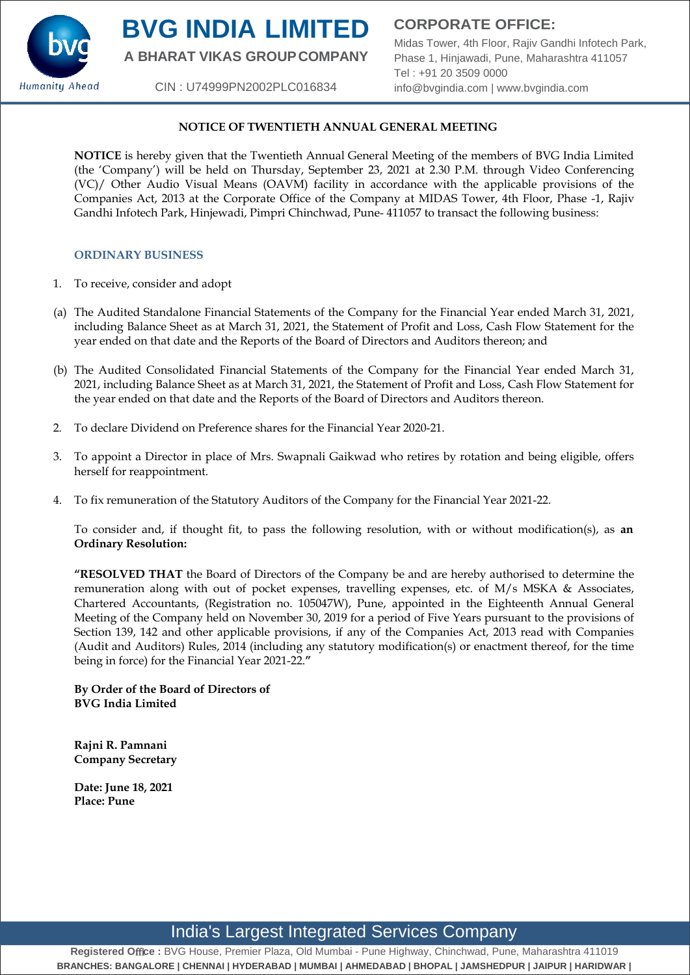

# **BVG INDIA LIMITED**

**A BHARAT VIKAS GROUPCOMPANY**

CIN : U74999PN2002PLC016834

**CORPORATE OFFICE:**

Midas Tower, 4th Floor, Rajiv Gandhi Infotech Park, Phase 1, Hinjawadi, Pune, Maharashtra 411057 Tel : +91 20 3509 0000 [info@bvgindia.com](mailto:info@bvgindia.com) | [www.bvgindia.com](http://www.bvgindia.com/)

### **NOTICE OF TWENTIETH ANNUAL GENERAL MEETING**

**NOTICE** is hereby given that the Twentieth Annual General Meeting of the members of BVG India Limited (the 'Company') will be held on Thursday, September 23, 2021 at 2.30 P.M. through Video Conferencing (VC)/ Other Audio Visual Means (OAVM) facility in accordance with the applicable provisions of the Companies Act, 2013 at the Corporate Office of the Company at MIDAS Tower, 4th Floor, Phase -1, Rajiv Gandhi Infotech Park, Hinjewadi, Pimpri Chinchwad, Pune- 411057 to transact the following business:

#### **ORDINARY BUSINESS**

- 1. To receive, consider and adopt
- (a) The Audited Standalone Financial Statements of the Company for the Financial Year ended March 31, 2021, including Balance Sheet as at March 31, 2021, the Statement of Profit and Loss, Cash Flow Statement for the year ended on that date and the Reports of the Board of Directors and Auditors thereon; and
- (b) The Audited Consolidated Financial Statements of the Company for the Financial Year ended March 31, 2021, including Balance Sheet as at March 31, 2021, the Statement of Profit and Loss, Cash Flow Statement for the year ended on that date and the Reports of the Board of Directors and Auditors thereon.
- 2. To declare Dividend on Preference shares for the Financial Year 2020-21.
- 3. To appoint a Director in place of Mrs. Swapnali Gaikwad who retires by rotation and being eligible, offers herself for reappointment.
- 4. To fix remuneration of the Statutory Auditors of the Company for the Financial Year 2021-22.

To consider and, if thought fit, to pass the following resolution, with or without modification(s), as **an Ordinary Resolution:**

**"RESOLVED THAT** the Board of Directors of the Company be and are hereby authorised to determine the remuneration along with out of pocket expenses, travelling expenses, etc. of M/s MSKA & Associates, Chartered Accountants, (Registration no. 105047W), Pune, appointed in the Eighteenth Annual General Meeting of the Company held on November 30, 2019 for a period of Five Years pursuant to the provisions of Section 139, 142 and other applicable provisions, if any of the Companies Act, 2013 read with Companies (Audit and Auditors) Rules, 2014 (including any statutory modification(s) or enactment thereof, for the time being in force) for the Financial Year 2021-22.**"**

**By Order of the Board of Directors of BVG India Limited**

**Rajni R. Pamnani Company Secretary**

**Date: June 18, 2021 Place: Pune**

## India's Largest Integrated Services Company

**Registered O**ffi**ce :** BVG House, Premier Plaza, Old Mumbai - Pune Highway, Chinchwad, Pune, Maharashtra 411019 **BRANCHES: BANGALORE | CHENNAI | HYDERABAD | MUMBAI | AHMEDABAD | BHOPAL | JAMSHEDPUR | JAIPUR | HARIDWAR |**